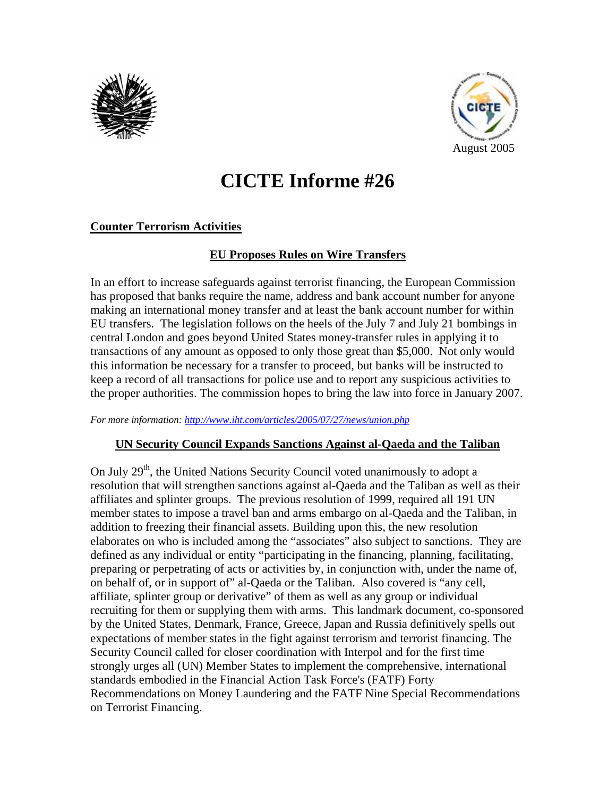



# **CICTE Informe #26**

# **Counter Terrorism Activities**

## **EU Proposes Rules on Wire Transfers**

In an effort to increase safeguards against terrorist financing, the European Commission has proposed that banks require the name, address and bank account number for anyone making an international money transfer and at least the bank account number for within EU transfers. The legislation follows on the heels of the July 7 and July 21 bombings in central London and goes beyond United States money-transfer rules in applying it to transactions of any amount as opposed to only those great than \$5,000. Not only would this information be necessary for a transfer to proceed, but banks will be instructed to keep a record of all transactions for police use and to report any suspicious activities to the proper authorities. The commission hopes to bring the law into force in January 2007.

*For more information: http://www.iht.com/articles/2005/07/27/news/union.php*

## **UN Security Council Expands Sanctions Against al-Qaeda and the Taliban**

On July  $29<sup>th</sup>$ , the United Nations Security Council voted unanimously to adopt a resolution that will strengthen sanctions against al-Qaeda and the Taliban as well as their affiliates and splinter groups. The previous resolution of 1999, required all 191 UN member states to impose a travel ban and arms embargo on al-Qaeda and the Taliban, in addition to freezing their financial assets. Building upon this, the new resolution elaborates on who is included among the "associates" also subject to sanctions. They are defined as any individual or entity "participating in the financing, planning, facilitating, preparing or perpetrating of acts or activities by, in conjunction with, under the name of, on behalf of, or in support of" al-Qaeda or the Taliban. Also covered is "any cell, affiliate, splinter group or derivative" of them as well as any group or individual recruiting for them or supplying them with arms. This landmark document, co-sponsored by the United States, Denmark, France, Greece, Japan and Russia definitively spells out expectations of member states in the fight against terrorism and terrorist financing. The Security Council called for closer coordination with Interpol and for the first time strongly urges all (UN) Member States to implement the comprehensive, international standards embodied in the Financial Action Task Force's (FATF) Forty Recommendations on Money Laundering and the FATF Nine Special Recommendations on Terrorist Financing.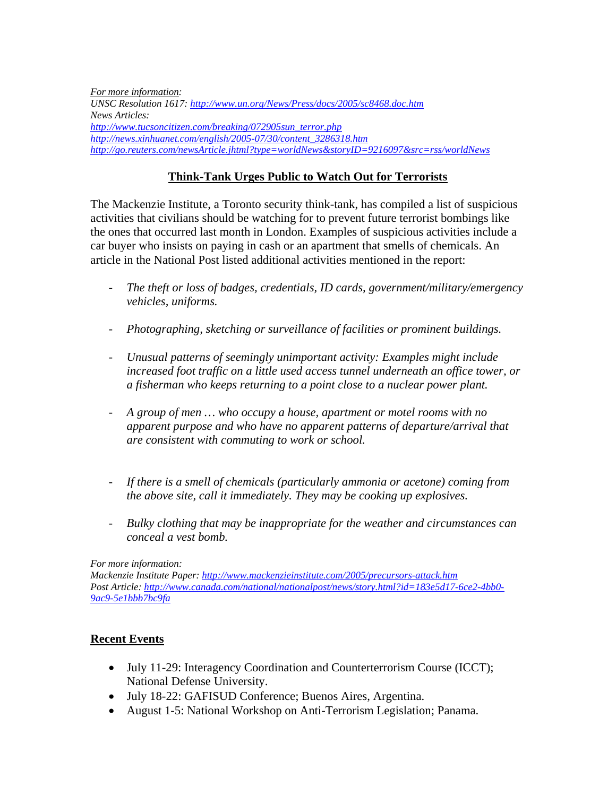*For more information: UNSC Resolution 1617: http://www.un.org/News/Press/docs/2005/sc8468.doc.htm News Articles: http://www.tucsoncitizen.com/breaking/072905sun\_terror.php http://news.xinhuanet.com/english/2005-07/30/content\_3286318.htm http://go.reuters.com/newsArticle.jhtml?type=worldNews&storyID=9216097&src=rss/worldNews*

## **Think-Tank Urges Public to Watch Out for Terrorists**

The Mackenzie Institute, a Toronto security think-tank, has compiled a list of suspicious activities that civilians should be watching for to prevent future terrorist bombings like the ones that occurred last month in London. Examples of suspicious activities include a car buyer who insists on paying in cash or an apartment that smells of chemicals. An article in the National Post listed additional activities mentioned in the report:

- *The theft or loss of badges, credentials, ID cards, government/military/emergency vehicles, uniforms.*
- *Photographing, sketching or surveillance of facilities or prominent buildings.*
- *Unusual patterns of seemingly unimportant activity: Examples might include increased foot traffic on a little used access tunnel underneath an office tower, or a fisherman who keeps returning to a point close to a nuclear power plant.*
- *A group of men … who occupy a house, apartment or motel rooms with no apparent purpose and who have no apparent patterns of departure/arrival that are consistent with commuting to work or school.*
- *If there is a smell of chemicals (particularly ammonia or acetone) coming from the above site, call it immediately. They may be cooking up explosives.*
- *Bulky clothing that may be inappropriate for the weather and circumstances can conceal a vest bomb.*

#### *For more information:*

*Mackenzie Institute Paper: http://www.mackenzieinstitute.com/2005/precursors-attack.htm Post Article: http://www.canada.com/national/nationalpost/news/story.html?id=183e5d17-6ce2-4bb0- 9ac9-5e1bbb7bc9fa*

### **Recent Events**

- July 11-29: Interagency Coordination and Counterterrorism Course (ICCT); National Defense University.
- July 18-22: GAFISUD Conference; Buenos Aires, Argentina.
- August 1-5: National Workshop on Anti-Terrorism Legislation; Panama.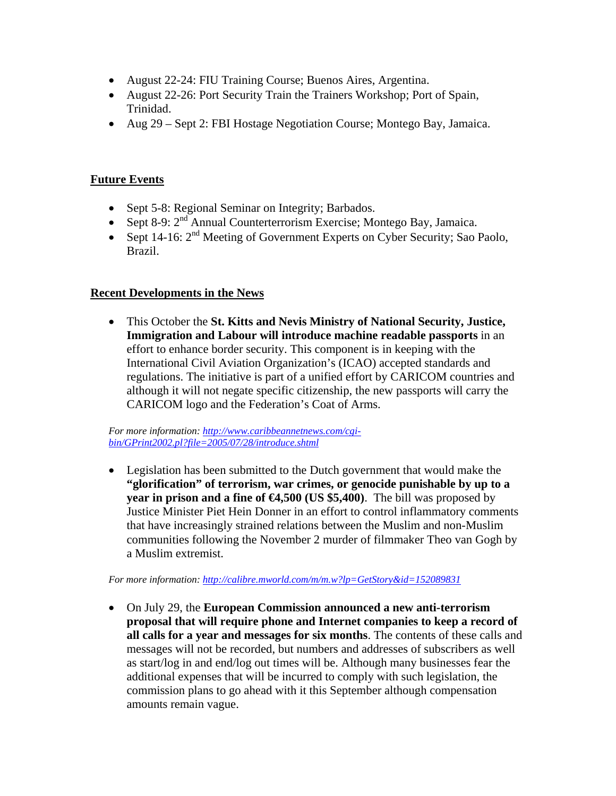- August 22-24: FIU Training Course; Buenos Aires, Argentina.
- August 22-26: Port Security Train the Trainers Workshop; Port of Spain, Trinidad.
- Aug 29 Sept 2: FBI Hostage Negotiation Course; Montego Bay, Jamaica.

## **Future Events**

- Sept 5-8: Regional Seminar on Integrity; Barbados.
- Sept 8-9:  $2<sup>nd</sup>$  Annual Counterterrorism Exercise; Montego Bay, Jamaica.
- Sept 14-16:  $2<sup>nd</sup>$  Meeting of Government Experts on Cyber Security; Sao Paolo, Brazil.

## **Recent Developments in the News**

• This October the **St. Kitts and Nevis Ministry of National Security, Justice, Immigration and Labour will introduce machine readable passports** in an effort to enhance border security. This component is in keeping with the International Civil Aviation Organization's (ICAO) accepted standards and regulations. The initiative is part of a unified effort by CARICOM countries and although it will not negate specific citizenship, the new passports will carry the CARICOM logo and the Federation's Coat of Arms.

*For more information: http://www.caribbeannetnews.com/cgibin/GPrint2002.pl?file=2005/07/28/introduce.shtml*

• Legislation has been submitted to the Dutch government that would make the **"glorification" of terrorism, war crimes, or genocide punishable by up to a year in prison and a fine of €4,500 (US \$5,400)**. The bill was proposed by Justice Minister Piet Hein Donner in an effort to control inflammatory comments that have increasingly strained relations between the Muslim and non-Muslim communities following the November 2 murder of filmmaker Theo van Gogh by a Muslim extremist.

*For more information: http://calibre.mworld.com/m/m.w?lp=GetStory&id=152089831*

• On July 29, the **European Commission announced a new anti-terrorism proposal that will require phone and Internet companies to keep a record of all calls for a year and messages for six months**. The contents of these calls and messages will not be recorded, but numbers and addresses of subscribers as well as start/log in and end/log out times will be. Although many businesses fear the additional expenses that will be incurred to comply with such legislation, the commission plans to go ahead with it this September although compensation amounts remain vague.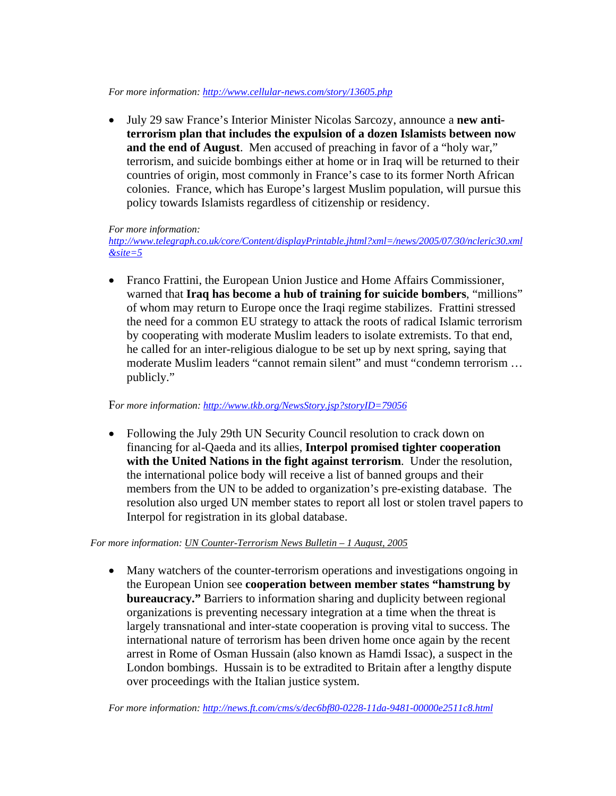#### *For more information: http://www.cellular-news.com/story/13605.php*

• July 29 saw France's Interior Minister Nicolas Sarcozy, announce a **new antiterrorism plan that includes the expulsion of a dozen Islamists between now and the end of August**. Men accused of preaching in favor of a "holy war," terrorism, and suicide bombings either at home or in Iraq will be returned to their countries of origin, most commonly in France's case to its former North African colonies. France, which has Europe's largest Muslim population, will pursue this policy towards Islamists regardless of citizenship or residency.

#### *For more information:*

*http://www.telegraph.co.uk/core/Content/displayPrintable.jhtml?xml=/news/2005/07/30/ncleric30.xml &site=5*

• Franco Frattini, the European Union Justice and Home Affairs Commissioner, warned that **Iraq has become a hub of training for suicide bombers**, "millions" of whom may return to Europe once the Iraqi regime stabilizes. Frattini stressed the need for a common EU strategy to attack the roots of radical Islamic terrorism by cooperating with moderate Muslim leaders to isolate extremists. To that end, he called for an inter-religious dialogue to be set up by next spring, saying that moderate Muslim leaders "cannot remain silent" and must "condemn terrorism … publicly."

#### F*or more information: http://www.tkb.org/NewsStory.jsp?storyID=79056*

• Following the July 29th UN Security Council resolution to crack down on financing for al-Qaeda and its allies, **Interpol promised tighter cooperation with the United Nations in the fight against terrorism**. Under the resolution, the international police body will receive a list of banned groups and their members from the UN to be added to organization's pre-existing database. The resolution also urged UN member states to report all lost or stolen travel papers to Interpol for registration in its global database.

#### *For more information: UN Counter-Terrorism News Bulletin – 1 August, 2005*

• Many watchers of the counter-terrorism operations and investigations ongoing in the European Union see **cooperation between member states "hamstrung by bureaucracy."** Barriers to information sharing and duplicity between regional organizations is preventing necessary integration at a time when the threat is largely transnational and inter-state cooperation is proving vital to success. The international nature of terrorism has been driven home once again by the recent arrest in Rome of Osman Hussain (also known as Hamdi Issac), a suspect in the London bombings. Hussain is to be extradited to Britain after a lengthy dispute over proceedings with the Italian justice system.

*For more information: http://news.ft.com/cms/s/dec6bf80-0228-11da-9481-00000e2511c8.html*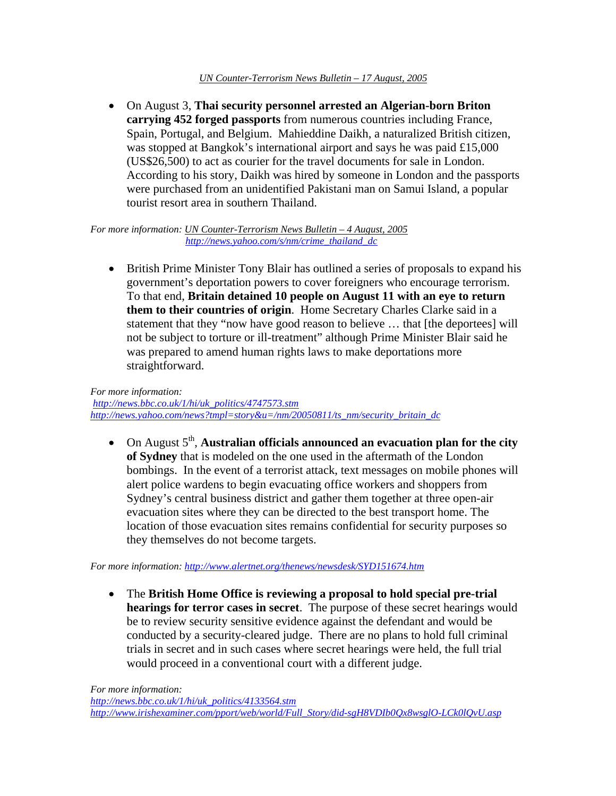#### *UN Counter-Terrorism News Bulletin – 17 August, 2005*

• On August 3, **Thai security personnel arrested an Algerian-born Briton carrying 452 forged passports** from numerous countries including France, Spain, Portugal, and Belgium. Mahieddine Daikh, a naturalized British citizen, was stopped at Bangkok's international airport and says he was paid £15,000 (US\$26,500) to act as courier for the travel documents for sale in London. According to his story, Daikh was hired by someone in London and the passports were purchased from an unidentified Pakistani man on Samui Island, a popular tourist resort area in southern Thailand.

*For more information: UN Counter-Terrorism News Bulletin – 4 August, 2005 http://news.yahoo.com/s/nm/crime\_thailand\_dc*

• British Prime Minister Tony Blair has outlined a series of proposals to expand his government's deportation powers to cover foreigners who encourage terrorism. To that end, **Britain detained 10 people on August 11 with an eye to return them to their countries of origin**. Home Secretary Charles Clarke said in a statement that they "now have good reason to believe … that [the deportees] will not be subject to torture or ill-treatment" although Prime Minister Blair said he was prepared to amend human rights laws to make deportations more straightforward.

*For more information: http://news.bbc.co.uk/1/hi/uk\_politics/4747573.stm http://news.yahoo.com/news?tmpl=story&u=/nm/20050811/ts\_nm/security\_britain\_dc*

• On August  $5<sup>th</sup>$ , **Australian officials announced an evacuation plan for the city of Sydney** that is modeled on the one used in the aftermath of the London bombings. In the event of a terrorist attack, text messages on mobile phones will alert police wardens to begin evacuating office workers and shoppers from Sydney's central business district and gather them together at three open-air evacuation sites where they can be directed to the best transport home. The location of those evacuation sites remains confidential for security purposes so they themselves do not become targets.

*For more information: http://www.alertnet.org/thenews/newsdesk/SYD151674.htm*

• The **British Home Office is reviewing a proposal to hold special pre-trial hearings for terror cases in secret**. The purpose of these secret hearings would be to review security sensitive evidence against the defendant and would be conducted by a security-cleared judge. There are no plans to hold full criminal trials in secret and in such cases where secret hearings were held, the full trial would proceed in a conventional court with a different judge.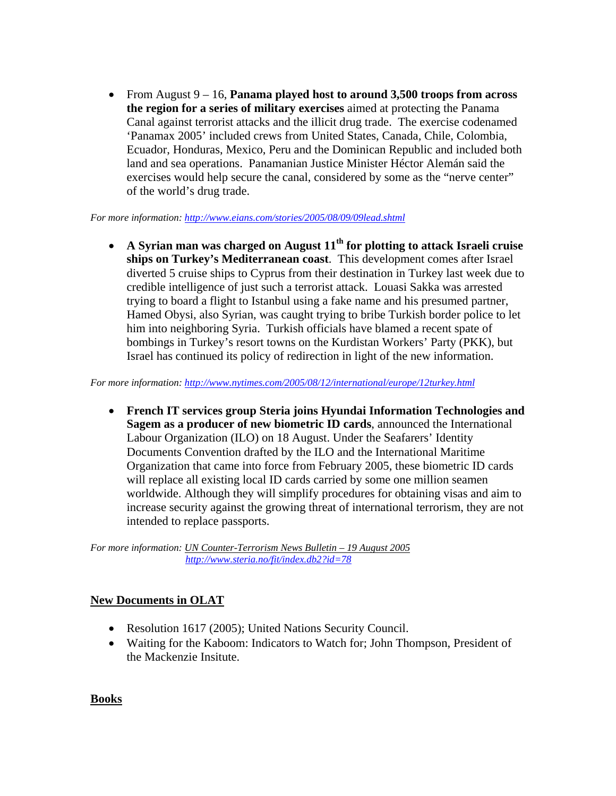• From August 9 – 16, **Panama played host to around 3,500 troops from across the region for a series of military exercises** aimed at protecting the Panama Canal against terrorist attacks and the illicit drug trade. The exercise codenamed 'Panamax 2005' included crews from United States, Canada, Chile, Colombia, Ecuador, Honduras, Mexico, Peru and the Dominican Republic and included both land and sea operations. Panamanian Justice Minister Héctor Alemán said the exercises would help secure the canal, considered by some as the "nerve center" of the world's drug trade.

#### *For more information: http://www.eians.com/stories/2005/08/09/09lead.shtml*

• **A Syrian man was charged on August 11th for plotting to attack Israeli cruise ships on Turkey's Mediterranean coast**. This development comes after Israel diverted 5 cruise ships to Cyprus from their destination in Turkey last week due to credible intelligence of just such a terrorist attack. Louasi Sakka was arrested trying to board a flight to Istanbul using a fake name and his presumed partner, Hamed Obysi, also Syrian, was caught trying to bribe Turkish border police to let him into neighboring Syria. Turkish officials have blamed a recent spate of bombings in Turkey's resort towns on the Kurdistan Workers' Party (PKK), but Israel has continued its policy of redirection in light of the new information.

*For more information: http://www.nytimes.com/2005/08/12/international/europe/12turkey.html*

• **French IT services group Steria joins Hyundai Information Technologies and Sagem as a producer of new biometric ID cards**, announced the International Labour Organization (ILO) on 18 August. Under the Seafarers' Identity Documents Convention drafted by the ILO and the International Maritime Organization that came into force from February 2005, these biometric ID cards will replace all existing local ID cards carried by some one million seamen worldwide. Although they will simplify procedures for obtaining visas and aim to increase security against the growing threat of international terrorism, they are not intended to replace passports.

*For more information: UN Counter-Terrorism News Bulletin – 19 August 2005 http://www.steria.no/fit/index.db2?id=78*

# **New Documents in OLAT**

- Resolution 1617 (2005); United Nations Security Council.
- Waiting for the Kaboom: Indicators to Watch for; John Thompson, President of the Mackenzie Insitute.

**Books**